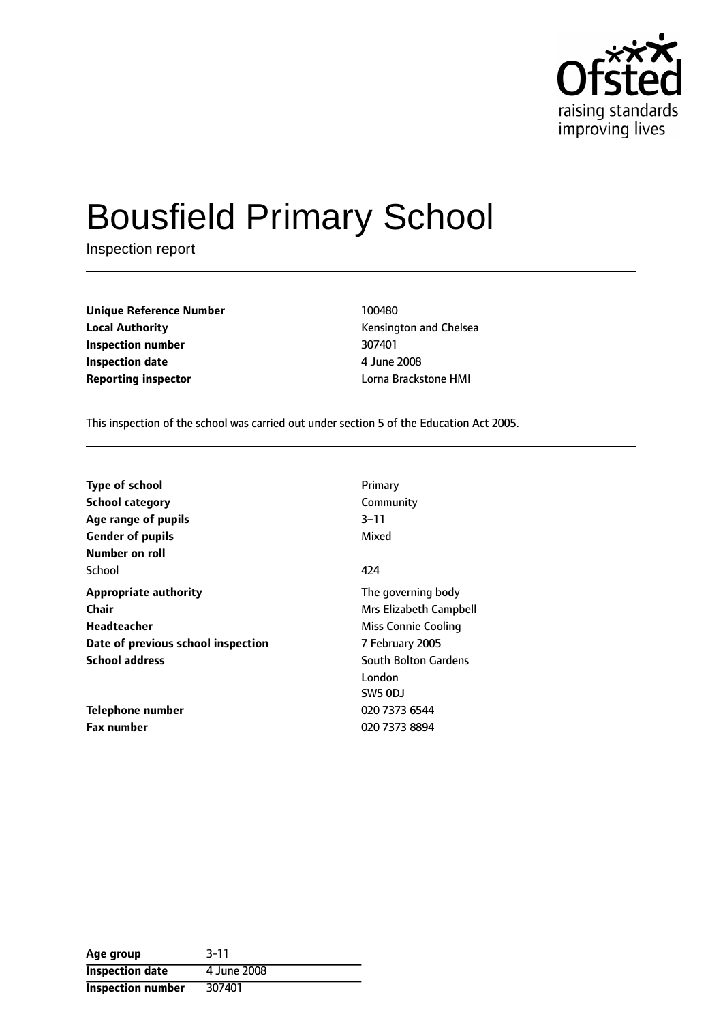

# Bousfield Primary School

Inspection report

| <b>Unique Reference Number</b> | 100480                       |
|--------------------------------|------------------------------|
| <b>Local Authority</b>         | <b>Kensington and Chelse</b> |
| Inspection number              | 307401                       |
| <b>Inspection date</b>         | 4 June 2008                  |
| <b>Reporting inspector</b>     | Lorna Brackstone HMI         |

**Kensington and Chelsea Inspection number** 307401 **Inspection date** 4 June 2008

This inspection of the school was carried out under section 5 of the Education Act 2005.

| Type of school                     | Primary                     |
|------------------------------------|-----------------------------|
| <b>School category</b>             | Community                   |
| Age range of pupils                | $3 - 11$                    |
| <b>Gender of pupils</b>            | Mixed                       |
| Number on roll                     |                             |
| School                             | 424                         |
| <b>Appropriate authority</b>       | The governing body          |
| Chair                              | Mrs Elizabeth Campbell      |
| Headteacher                        | Miss Connie Cooling         |
| Date of previous school inspection | 7 February 2005             |
| <b>School address</b>              | <b>South Bolton Gardens</b> |
|                                    | London                      |
|                                    | SW5 ODJ                     |
| Telephone number                   | 020 7373 6544               |
| <b>Fax number</b>                  | 020 7373 8894               |

| Age group              | $3 - 11$    |
|------------------------|-------------|
| <b>Inspection date</b> | 4 June 2008 |
| Inspection number      | 307401      |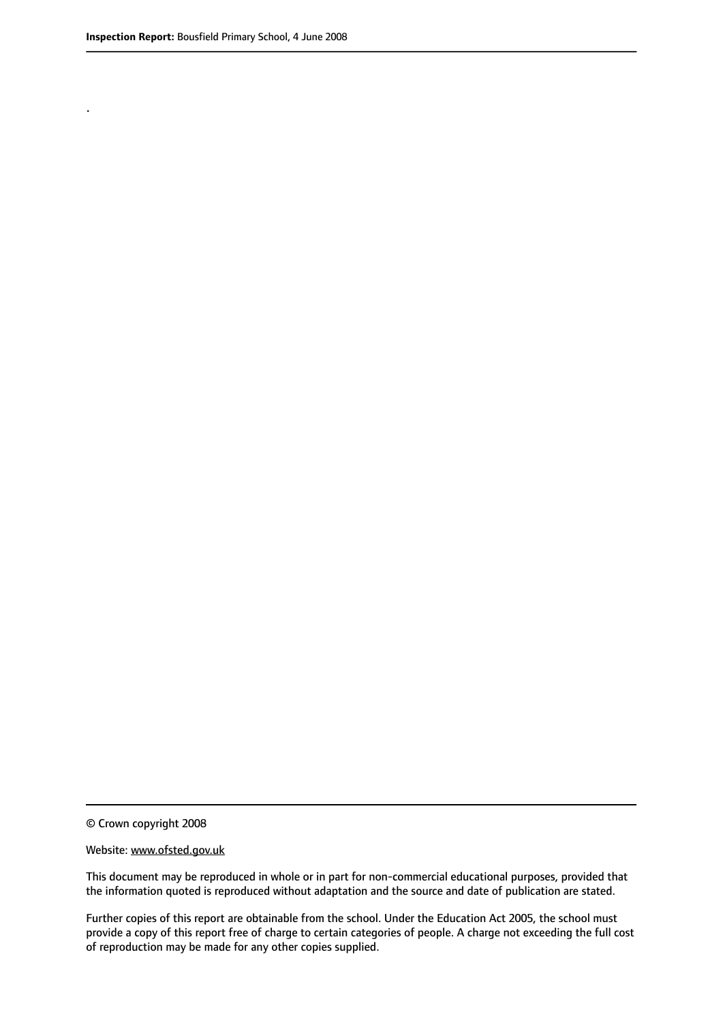.

© Crown copyright 2008

#### Website: www.ofsted.gov.uk

This document may be reproduced in whole or in part for non-commercial educational purposes, provided that the information quoted is reproduced without adaptation and the source and date of publication are stated.

Further copies of this report are obtainable from the school. Under the Education Act 2005, the school must provide a copy of this report free of charge to certain categories of people. A charge not exceeding the full cost of reproduction may be made for any other copies supplied.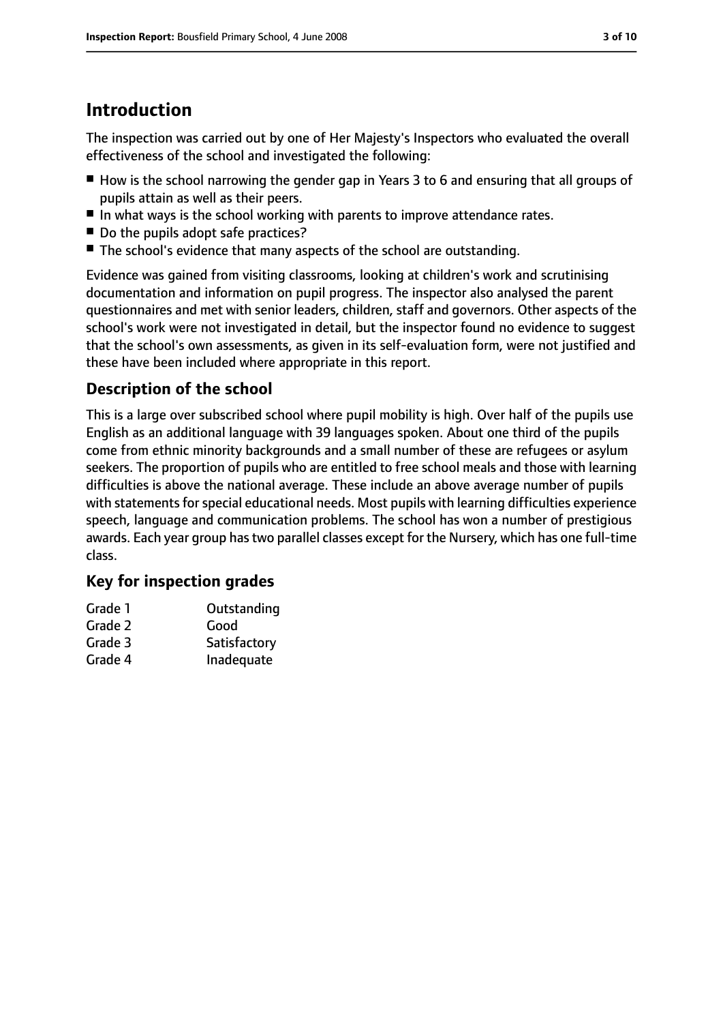# **Introduction**

The inspection was carried out by one of Her Majesty's Inspectors who evaluated the overall effectiveness of the school and investigated the following:

- How is the school narrowing the gender gap in Years 3 to 6 and ensuring that all groups of pupils attain as well as their peers.
- In what ways is the school working with parents to improve attendance rates.
- Do the pupils adopt safe practices?
- The school's evidence that many aspects of the school are outstanding.

Evidence was gained from visiting classrooms, looking at children's work and scrutinising documentation and information on pupil progress. The inspector also analysed the parent questionnaires and met with senior leaders, children, staff and governors. Other aspects of the school's work were not investigated in detail, but the inspector found no evidence to suggest that the school's own assessments, as given in its self-evaluation form, were not justified and these have been included where appropriate in this report.

## **Description of the school**

This is a large over subscribed school where pupil mobility is high. Over half of the pupils use English as an additional language with 39 languages spoken. About one third of the pupils come from ethnic minority backgrounds and a small number of these are refugees or asylum seekers. The proportion of pupils who are entitled to free school meals and those with learning difficulties is above the national average. These include an above average number of pupils with statements for special educational needs. Most pupils with learning difficulties experience speech, language and communication problems. The school has won a number of prestigious awards. Each year group has two parallel classes except for the Nursery, which has one full-time class.

## **Key for inspection grades**

| Grade 1 | Outstanding  |
|---------|--------------|
| Grade 2 | Good         |
| Grade 3 | Satisfactory |
| Grade 4 | Inadequate   |
|         |              |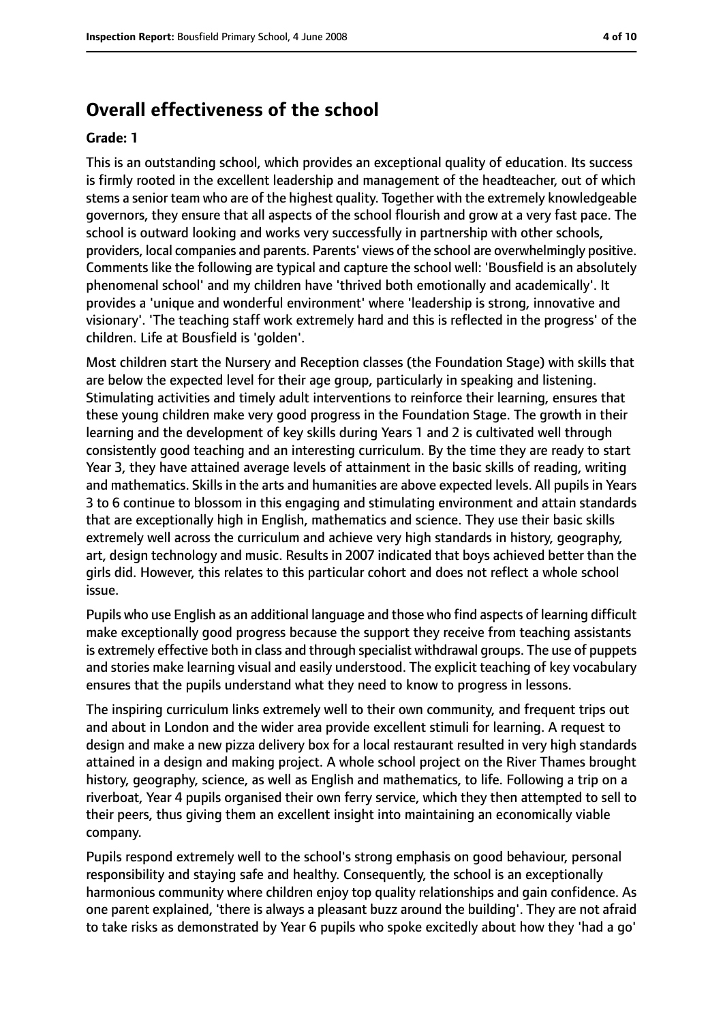## **Overall effectiveness of the school**

#### **Grade: 1**

This is an outstanding school, which provides an exceptional quality of education. Its success is firmly rooted in the excellent leadership and management of the headteacher, out of which stems a senior team who are of the highest quality. Together with the extremely knowledgeable governors, they ensure that all aspects of the school flourish and grow at a very fast pace. The school is outward looking and works very successfully in partnership with other schools, providers, local companies and parents. Parents' views of the school are overwhelmingly positive. Comments like the following are typical and capture the school well: 'Bousfield is an absolutely phenomenal school' and my children have 'thrived both emotionally and academically'. It provides a 'unique and wonderful environment' where 'leadership is strong, innovative and visionary'. 'The teaching staff work extremely hard and this is reflected in the progress' of the children. Life at Bousfield is 'golden'.

Most children start the Nursery and Reception classes (the Foundation Stage) with skills that are below the expected level for their age group, particularly in speaking and listening. Stimulating activities and timely adult interventions to reinforce their learning, ensures that these young children make very good progress in the Foundation Stage. The growth in their learning and the development of key skills during Years 1 and 2 is cultivated well through consistently good teaching and an interesting curriculum. By the time they are ready to start Year 3, they have attained average levels of attainment in the basic skills of reading, writing and mathematics. Skills in the arts and humanities are above expected levels. All pupils in Years 3 to 6 continue to blossom in this engaging and stimulating environment and attain standards that are exceptionally high in English, mathematics and science. They use their basic skills extremely well across the curriculum and achieve very high standards in history, geography, art, design technology and music. Results in 2007 indicated that boys achieved better than the girls did. However, this relates to this particular cohort and does not reflect a whole school issue.

Pupils who use English as an additional language and those who find aspects of learning difficult make exceptionally good progress because the support they receive from teaching assistants is extremely effective both in class and through specialist withdrawal groups. The use of puppets and stories make learning visual and easily understood. The explicit teaching of key vocabulary ensures that the pupils understand what they need to know to progress in lessons.

The inspiring curriculum links extremely well to their own community, and frequent trips out and about in London and the wider area provide excellent stimuli for learning. A request to design and make a new pizza delivery box for a local restaurant resulted in very high standards attained in a design and making project. A whole school project on the River Thames brought history, geography, science, as well as English and mathematics, to life. Following a trip on a riverboat, Year 4 pupils organised their own ferry service, which they then attempted to sell to their peers, thus giving them an excellent insight into maintaining an economically viable company.

Pupils respond extremely well to the school's strong emphasis on good behaviour, personal responsibility and staying safe and healthy. Consequently, the school is an exceptionally harmonious community where children enjoy top quality relationships and gain confidence. As one parent explained, 'there is always a pleasant buzz around the building'. They are not afraid to take risks as demonstrated by Year 6 pupils who spoke excitedly about how they 'had a go'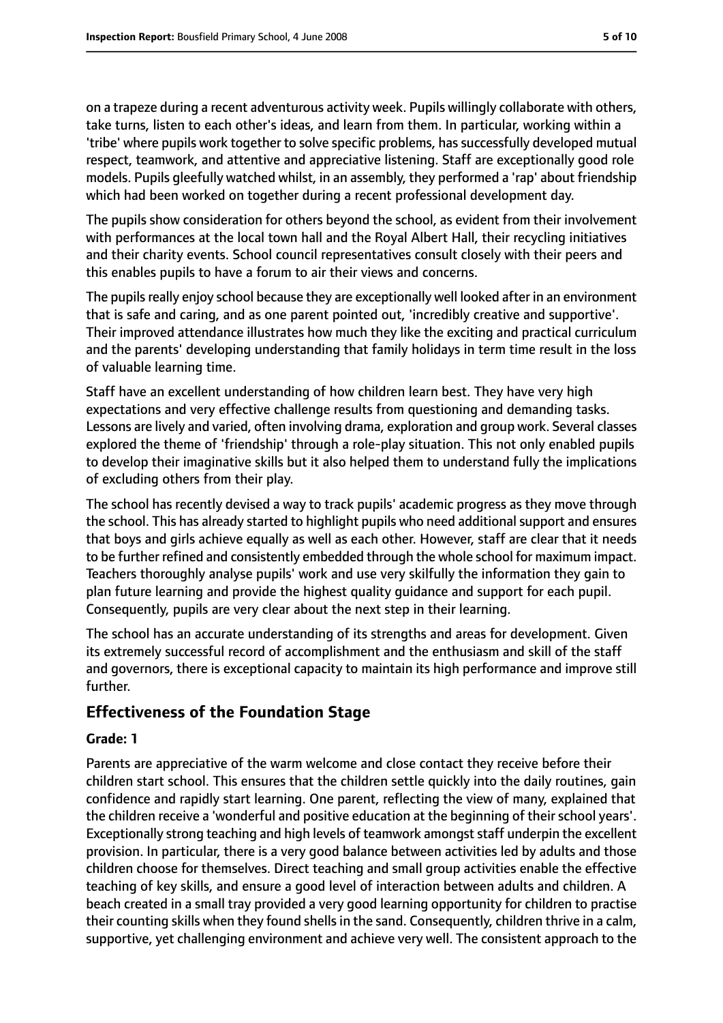on a trapeze during a recent adventurous activity week. Pupils willingly collaborate with others, take turns, listen to each other's ideas, and learn from them. In particular, working within a 'tribe' where pupils work together to solve specific problems, has successfully developed mutual respect, teamwork, and attentive and appreciative listening. Staff are exceptionally good role models. Pupils gleefully watched whilst, in an assembly, they performed a 'rap' about friendship which had been worked on together during a recent professional development day.

The pupils show consideration for others beyond the school, as evident from their involvement with performances at the local town hall and the Royal Albert Hall, their recycling initiatives and their charity events. School council representatives consult closely with their peers and this enables pupils to have a forum to air their views and concerns.

The pupils really enjoy school because they are exceptionally well looked after in an environment that is safe and caring, and as one parent pointed out, 'incredibly creative and supportive'. Their improved attendance illustrates how much they like the exciting and practical curriculum and the parents' developing understanding that family holidays in term time result in the loss of valuable learning time.

Staff have an excellent understanding of how children learn best. They have very high expectations and very effective challenge results from questioning and demanding tasks. Lessons are lively and varied, often involving drama, exploration and group work. Several classes explored the theme of 'friendship' through a role-play situation. This not only enabled pupils to develop their imaginative skills but it also helped them to understand fully the implications of excluding others from their play.

The school has recently devised a way to track pupils' academic progress as they move through the school. This has already started to highlight pupils who need additional support and ensures that boys and girls achieve equally as well as each other. However, staff are clear that it needs to be further refined and consistently embedded through the whole school for maximum impact. Teachers thoroughly analyse pupils' work and use very skilfully the information they gain to plan future learning and provide the highest quality guidance and support for each pupil. Consequently, pupils are very clear about the next step in their learning.

The school has an accurate understanding of its strengths and areas for development. Given its extremely successful record of accomplishment and the enthusiasm and skill of the staff and governors, there is exceptional capacity to maintain its high performance and improve still further.

## **Effectiveness of the Foundation Stage**

#### **Grade: 1**

Parents are appreciative of the warm welcome and close contact they receive before their children start school. This ensures that the children settle quickly into the daily routines, gain confidence and rapidly start learning. One parent, reflecting the view of many, explained that the children receive a 'wonderful and positive education at the beginning of their school years'. Exceptionally strong teaching and high levels of teamwork amongst staff underpin the excellent provision. In particular, there is a very good balance between activities led by adults and those children choose for themselves. Direct teaching and small group activities enable the effective teaching of key skills, and ensure a good level of interaction between adults and children. A beach created in a small tray provided a very good learning opportunity for children to practise their counting skills when they found shellsin the sand. Consequently, children thrive in a calm, supportive, yet challenging environment and achieve very well. The consistent approach to the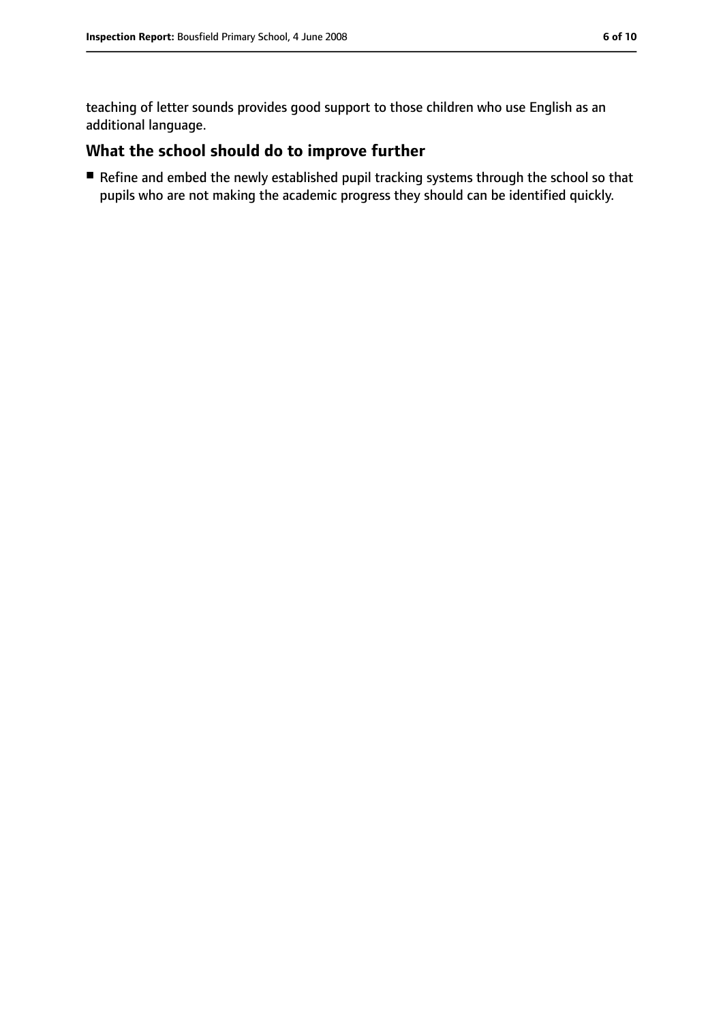teaching of letter sounds provides good support to those children who use English as an additional language.

## **What the school should do to improve further**

■ Refine and embed the newly established pupil tracking systems through the school so that pupils who are not making the academic progress they should can be identified quickly.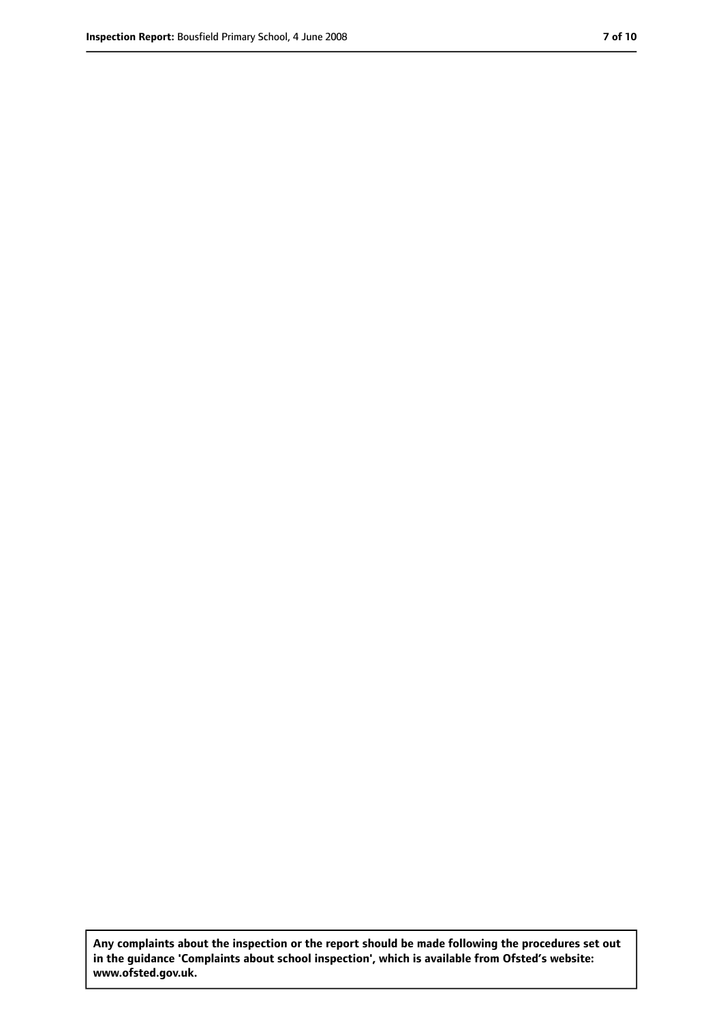**Any complaints about the inspection or the report should be made following the procedures set out in the guidance 'Complaints about school inspection', which is available from Ofsted's website: www.ofsted.gov.uk.**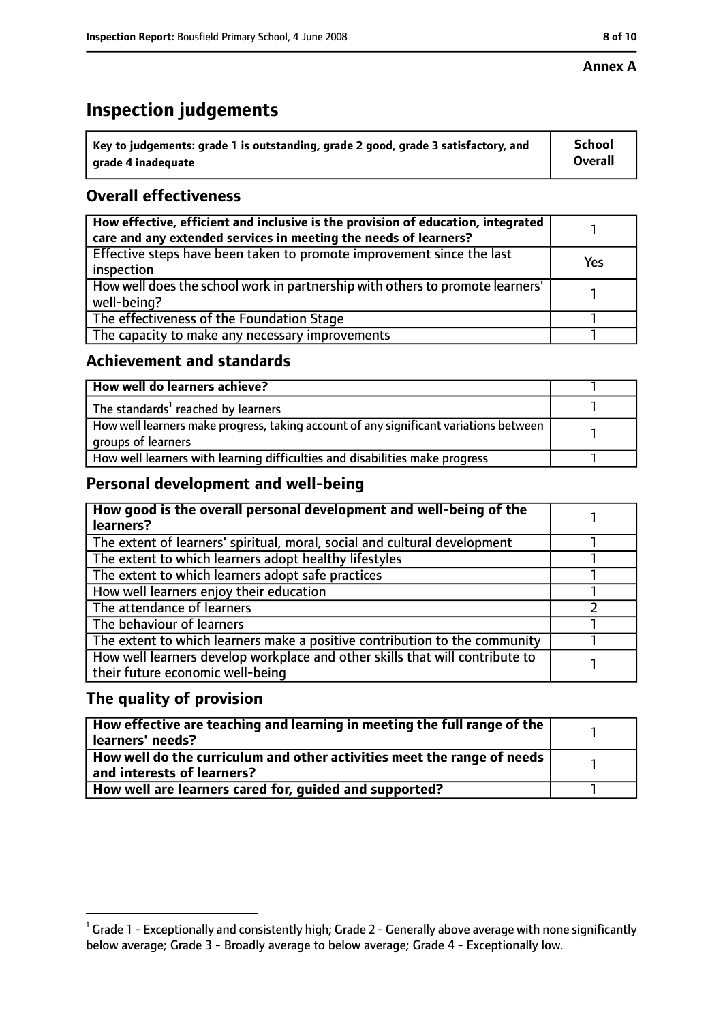#### **Annex A**

# **Inspection judgements**

| $\degree$ Key to judgements: grade 1 is outstanding, grade 2 good, grade 3 satisfactory, and | School         |
|----------------------------------------------------------------------------------------------|----------------|
| arade 4 inadequate                                                                           | <b>Overall</b> |

## **Overall effectiveness**

| How effective, efficient and inclusive is the provision of education, integrated<br>care and any extended services in meeting the needs of learners? |     |
|------------------------------------------------------------------------------------------------------------------------------------------------------|-----|
| Effective steps have been taken to promote improvement since the last<br>inspection                                                                  | Yes |
| How well does the school work in partnership with others to promote learners'<br>well-being?                                                         |     |
| The effectiveness of the Foundation Stage                                                                                                            |     |
| The capacity to make any necessary improvements                                                                                                      |     |

### **Achievement and standards**

| How well do learners achieve?                                                                               |  |
|-------------------------------------------------------------------------------------------------------------|--|
| The standards <sup>1</sup> reached by learners                                                              |  |
| How well learners make progress, taking account of any significant variations between<br>groups of learners |  |
| How well learners with learning difficulties and disabilities make progress                                 |  |

## **Personal development and well-being**

| How good is the overall personal development and well-being of the<br>learners?                                  |  |
|------------------------------------------------------------------------------------------------------------------|--|
| The extent of learners' spiritual, moral, social and cultural development                                        |  |
| The extent to which learners adopt healthy lifestyles                                                            |  |
| The extent to which learners adopt safe practices                                                                |  |
| How well learners enjoy their education                                                                          |  |
| The attendance of learners                                                                                       |  |
| The behaviour of learners                                                                                        |  |
| The extent to which learners make a positive contribution to the community                                       |  |
| How well learners develop workplace and other skills that will contribute to<br>their future economic well-being |  |

## **The quality of provision**

| How effective are teaching and learning in meeting the full range of the<br>learners' needs?          |  |
|-------------------------------------------------------------------------------------------------------|--|
| How well do the curriculum and other activities meet the range of needs<br>and interests of learners? |  |
| How well are learners cared for, quided and supported?                                                |  |

 $^1$  Grade 1 - Exceptionally and consistently high; Grade 2 - Generally above average with none significantly below average; Grade 3 - Broadly average to below average; Grade 4 - Exceptionally low.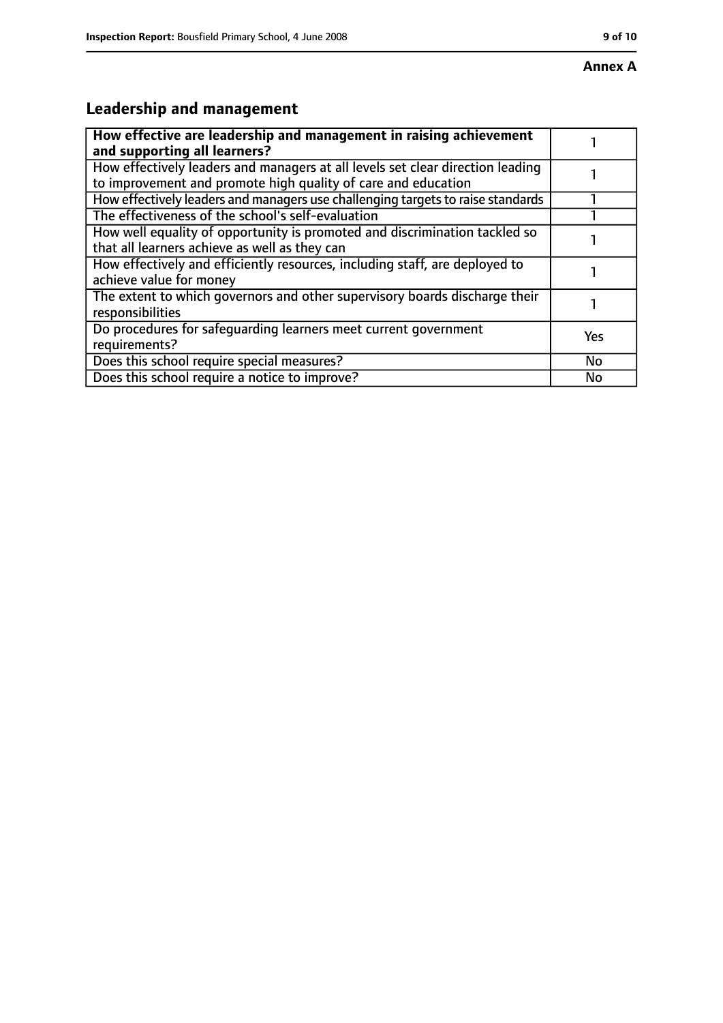# **Leadership and management**

| How effective are leadership and management in raising achievement<br>and supporting all learners?                                              |     |
|-------------------------------------------------------------------------------------------------------------------------------------------------|-----|
| How effectively leaders and managers at all levels set clear direction leading<br>to improvement and promote high quality of care and education |     |
| How effectively leaders and managers use challenging targets to raise standards                                                                 |     |
| The effectiveness of the school's self-evaluation                                                                                               |     |
| How well equality of opportunity is promoted and discrimination tackled so<br>that all learners achieve as well as they can                     |     |
| How effectively and efficiently resources, including staff, are deployed to<br>achieve value for money                                          |     |
| The extent to which governors and other supervisory boards discharge their<br>responsibilities                                                  |     |
| Do procedures for safequarding learners meet current government<br>requirements?                                                                | Yes |
| Does this school require special measures?                                                                                                      | No  |
| Does this school require a notice to improve?                                                                                                   | No  |